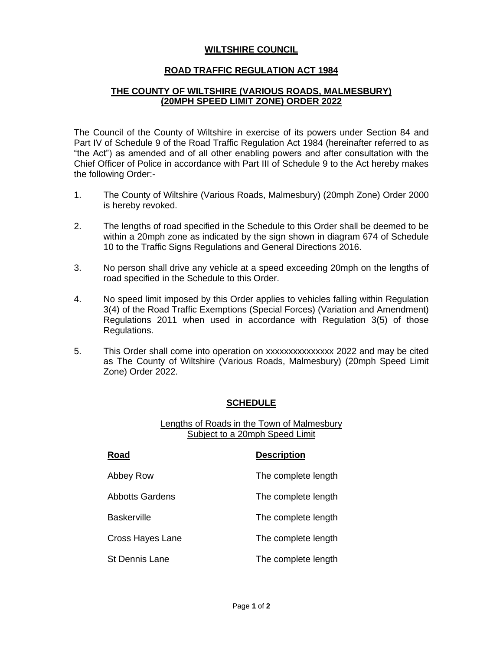## **WILTSHIRE COUNCIL**

## **ROAD TRAFFIC REGULATION ACT 1984**

## **THE COUNTY OF WILTSHIRE (VARIOUS ROADS, MALMESBURY) (20MPH SPEED LIMIT ZONE) ORDER 2022**

The Council of the County of Wiltshire in exercise of its powers under Section 84 and Part IV of Schedule 9 of the Road Traffic Regulation Act 1984 (hereinafter referred to as "the Act") as amended and of all other enabling powers and after consultation with the Chief Officer of Police in accordance with Part III of Schedule 9 to the Act hereby makes the following Order:-

- 1. The County of Wiltshire (Various Roads, Malmesbury) (20mph Zone) Order 2000 is hereby revoked.
- 2. The lengths of road specified in the Schedule to this Order shall be deemed to be within a 20mph zone as indicated by the sign shown in diagram 674 of Schedule 10 to the Traffic Signs Regulations and General Directions 2016.
- 3. No person shall drive any vehicle at a speed exceeding 20mph on the lengths of road specified in the Schedule to this Order.
- 4. No speed limit imposed by this Order applies to vehicles falling within Regulation 3(4) of the Road Traffic Exemptions (Special Forces) (Variation and Amendment) Regulations 2011 when used in accordance with Regulation 3(5) of those Regulations.
- 5. This Order shall come into operation on xxxxxxxxxxxxxxx 2022 and may be cited as The County of Wiltshire (Various Roads, Malmesbury) (20mph Speed Limit Zone) Order 2022.

### **SCHEDULE**

#### Lengths of Roads in the Town of Malmesbury Subject to a 20mph Speed Limit

| Road                   | <b>Description</b>  |
|------------------------|---------------------|
| Abbey Row              | The complete length |
| <b>Abbotts Gardens</b> | The complete length |
| <b>Baskerville</b>     | The complete length |
| Cross Hayes Lane       | The complete length |
| <b>St Dennis Lane</b>  | The complete length |